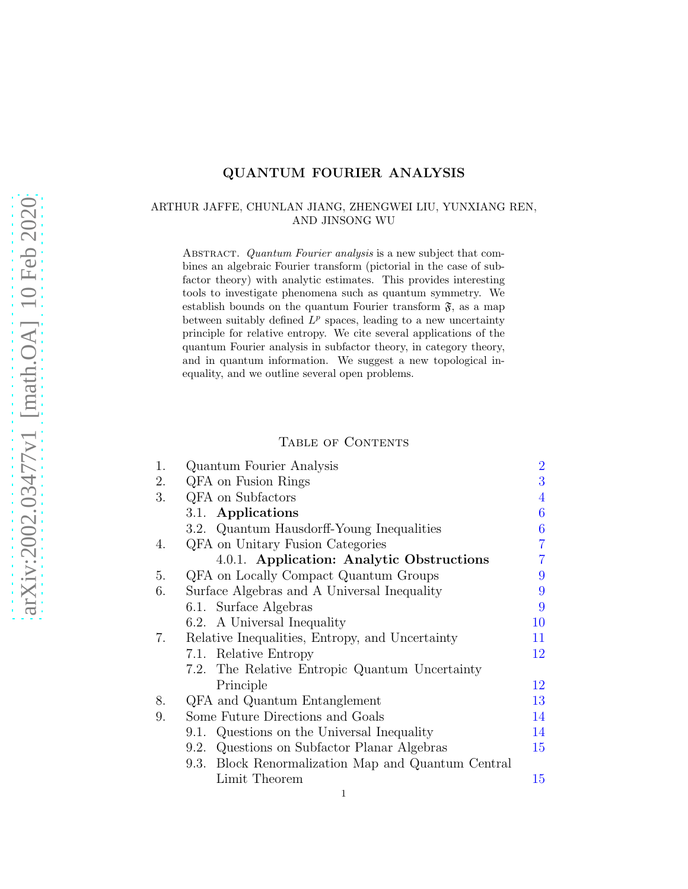# QUANTUM FOURIER ANALYSIS

## <span id="page-0-0"></span>ARTHUR JAFFE, CHUNLAN JIANG, ZHENGWEI LIU, YUNXIANG REN, AND JINSONG WU

ABSTRACT. Quantum Fourier analysis is a new subject that combines an algebraic Fourier transform (pictorial in the case of subfactor theory) with analytic estimates. This provides interesting tools to investigate phenomena such as quantum symmetry. We establish bounds on the quantum Fourier transform  $\mathfrak{F}$ , as a map between suitably defined  $L^p$  spaces, leading to a new uncertainty principle for relative entropy. We cite several applications of the quantum Fourier analysis in subfactor theory, in category theory, and in quantum information. We suggest a new topological inequality, and we outline several open problems.

### TABLE OF CONTENTS

| 1. | Quantum Fourier Analysis                           | $\overline{2}$ |
|----|----------------------------------------------------|----------------|
| 2. | QFA on Fusion Rings                                | 3              |
| 3. | QFA on Subfactors                                  | 4              |
|    | 3.1. Applications                                  | 6              |
|    | 3.2. Quantum Hausdorff-Young Inequalities          | 6              |
| 4. | QFA on Unitary Fusion Categories                   | $\overline{7}$ |
|    | 4.0.1. Application: Analytic Obstructions          | $\overline{7}$ |
| 5. | QFA on Locally Compact Quantum Groups              | 9              |
| 6. | Surface Algebras and A Universal Inequality        | 9              |
|    | 6.1. Surface Algebras                              | 9              |
|    | 6.2. A Universal Inequality                        | 10             |
| 7. | Relative Inequalities, Entropy, and Uncertainty    | 11             |
|    | 7.1. Relative Entropy                              | 12             |
|    | 7.2. The Relative Entropic Quantum Uncertainty     |                |
|    | Principle                                          | 12             |
| 8. | QFA and Quantum Entanglement                       | 13             |
| 9. | Some Future Directions and Goals                   | 14             |
|    | 9.1. Questions on the Universal Inequality         | 14             |
|    | 9.2. Questions on Subfactor Planar Algebras        | 15             |
|    | 9.3. Block Renormalization Map and Quantum Central |                |
|    | Limit Theorem                                      | 15             |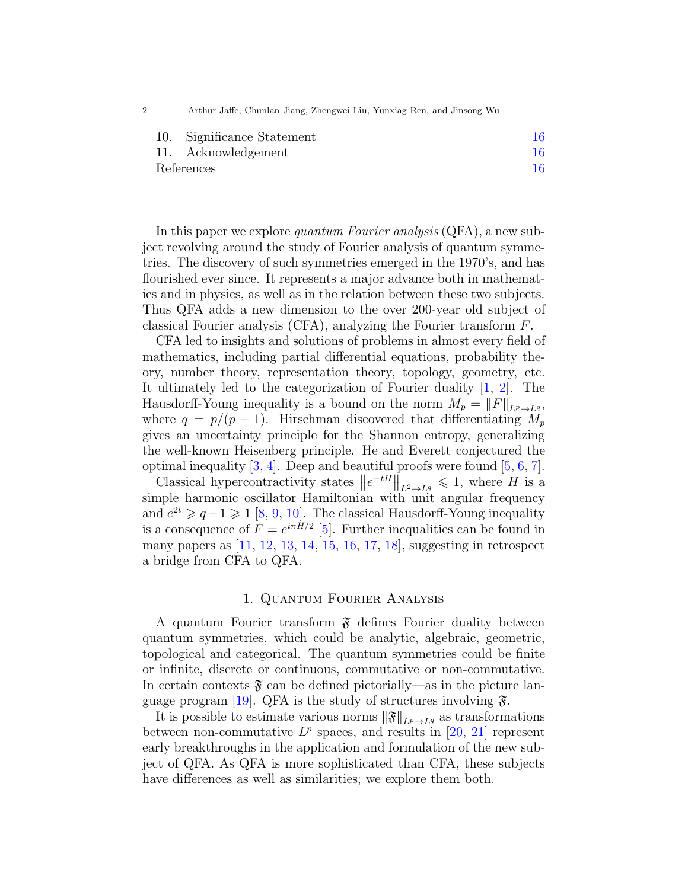2 Arthur Jaffe, Chunlan Jiang, Zhengwei Liu, Yunxiag Ren, and Jinsong Wu

|            | 10. Significance Statement |    |
|------------|----------------------------|----|
|            | 11. Acknowledgement        | 16 |
| References |                            | 16 |

In this paper we explore *quantum Fourier analysis*  $(QFA)$ , a new subject revolving around the study of Fourier analysis of quantum symmetries. The discovery of such symmetries emerged in the 1970's, and has flourished ever since. It represents a major advance both in mathematics and in physics, as well as in the relation between these two subjects. Thus QFA adds a new dimension to the over 200-year old subject of classical Fourier analysis (CFA), analyzing the Fourier transform F.

CFA led to insights and solutions of problems in almost every field of mathematics, including partial differential equations, probability theory, number theory, representation theory, topology, geometry, etc. It ultimately led to the categorization of Fourier duality [\[1,](#page-15-3) [2\]](#page-15-4). The Hausdorff-Young inequality is a bound on the norm  $M_p = ||F||_{L^p \to L^q}$ , where  $q = p/(p - 1)$ . Hirschman discovered that differentiating  $M_p$ gives an uncertainty principle for the Shannon entropy, generalizing the well-known Heisenberg principle. He and Everett conjectured the optimal inequality  $[3, 4]$  $[3, 4]$ . Deep and beautiful proofs were found  $[5, 6, 7]$  $[5, 6, 7]$  $[5, 6, 7]$  $[5, 6, 7]$ .

Classical hypercontractivity states  $||e^{-tH}||_{L^2 \to L^q} \leq 1$ , where H is a simple harmonic oscillator Hamiltonian with unit angular frequency and  $e^{2t} \geqslant q-1 \geqslant 1$  [\[8,](#page-15-10) [9,](#page-15-11) [10\]](#page-15-12). The classical Hausdorff-Young inequality is a consequence of  $F = e^{i\pi H/2}$  [\[5\]](#page-15-7). Further inequalities can be found in many papers as [\[11,](#page-15-13) [12,](#page-15-14) [13,](#page-16-0) [14,](#page-16-1) [15,](#page-16-2) [16,](#page-16-3) [17,](#page-16-4) [18\]](#page-16-5), suggesting in retrospect a bridge from CFA to QFA.

## 1. Quantum Fourier Analysis

<span id="page-1-0"></span>A quantum Fourier transform  $\mathfrak F$  defines Fourier duality between quantum symmetries, which could be analytic, algebraic, geometric, topological and categorical. The quantum symmetries could be finite or infinite, discrete or continuous, commutative or non-commutative. In certain contexts  $\mathfrak{F}$  can be defined pictorially—as in the picture lan-guage program [\[19\]](#page-16-6). QFA is the study of structures involving  $\mathfrak{F}$ .

It is possible to estimate various norms  $\|\mathfrak{F}\|_{L^p\to L^q}$  as transformations between non-commutative  $L^p$  spaces, and results in [\[20,](#page-16-7) [21\]](#page-16-8) represent early breakthroughs in the application and formulation of the new subject of QFA. As QFA is more sophisticated than CFA, these subjects have differences as well as similarities; we explore them both.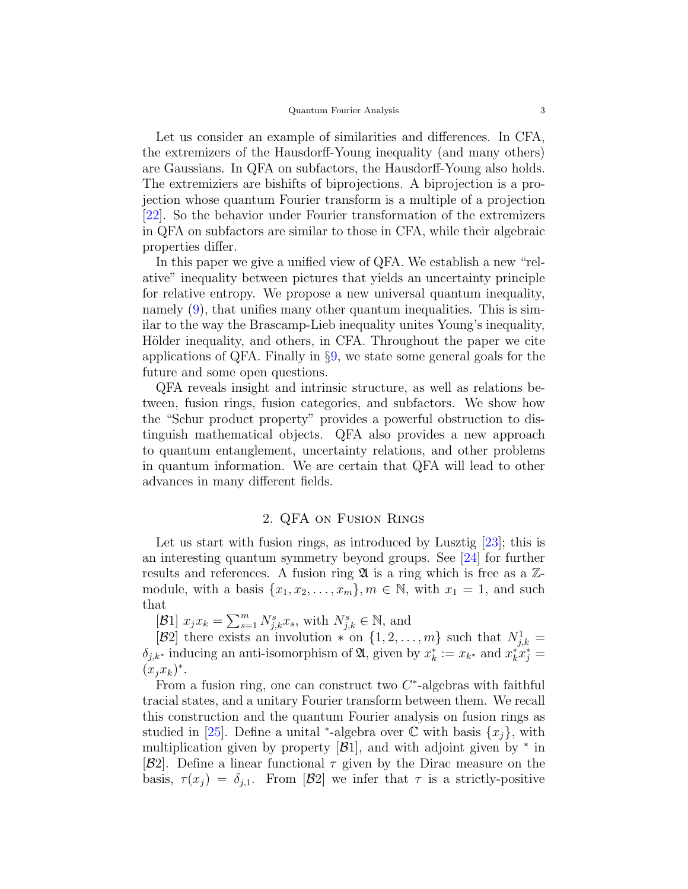Let us consider an example of similarities and differences. In CFA, the extremizers of the Hausdorff-Young inequality (and many others) are Gaussians. In QFA on subfactors, the Hausdorff-Young also holds. The extremiziers are bishifts of biprojections. A biprojection is a projection whose quantum Fourier transform is a multiple of a projection [\[22\]](#page-16-9). So the behavior under Fourier transformation of the extremizers in QFA on subfactors are similar to those in CFA, while their algebraic properties differ.

In this paper we give a unified view of QFA. We establish a new "relative" inequality between pictures that yields an uncertainty principle for relative entropy. We propose a new universal quantum inequality, namely [\(9\)](#page-9-1), that unifies many other quantum inequalities. This is similar to the way the Brascamp-Lieb inequality unites Young's inequality, Hölder inequality, and others, in CFA. Throughout the paper we cite applications of QFA. Finally in §[9,](#page-13-0) we state some general goals for the future and some open questions.

QFA reveals insight and intrinsic structure, as well as relations between, fusion rings, fusion categories, and subfactors. We show how the "Schur product property" provides a powerful obstruction to distinguish mathematical objects. QFA also provides a new approach to quantum entanglement, uncertainty relations, and other problems in quantum information. We are certain that QFA will lead to other advances in many different fields.

# 2. QFA on Fusion Rings

<span id="page-2-0"></span>Let us start with fusion rings, as introduced by Lusztig [\[23\]](#page-16-10); this is an interesting quantum symmetry beyond groups. See [\[24\]](#page-16-11) for further results and references. A fusion ring  $\mathfrak A$  is a ring which is free as a  $\mathbb Z$ module, with a basis  $\{x_1, x_2, \ldots, x_m\}$ ,  $m \in \mathbb{N}$ , with  $x_1 = 1$ , and such that

[B1]  $x_j x_k = \sum_{s=1}^m N_{j,k}^s x_s$ , with  $N_{j,k}^s \in \mathbb{N}$ , and

[B2] there exists an involution  $*$  on  $\{1, 2, ..., m\}$  such that  $N_{j,k}^1$  =  $\delta_{j,k^*}$  inducing an anti-isomorphism of  $\mathfrak{A}$ , given by  $x_k^* := x_{k^*}$  and  $x_k^* x_j^* =$  $(x_jx_k)^*$ .

From a fusion ring, one can construct two  $C^*$ -algebras with faithful tracial states, and a unitary Fourier transform between them. We recall this construction and the quantum Fourier analysis on fusion rings as studied in [\[25\]](#page-16-12). Define a unital <sup>\*</sup>-algebra over  $\mathbb C$  with basis  $\{x_j\}$ , with multiplication given by property  $[\mathcal{B}1]$ , and with adjoint given by  $*$  in  $|\mathcal{B}2|$ . Define a linear functional  $\tau$  given by the Dirac measure on the basis,  $\tau(x_i) = \delta_{i,1}$ . From [B2] we infer that  $\tau$  is a strictly-positive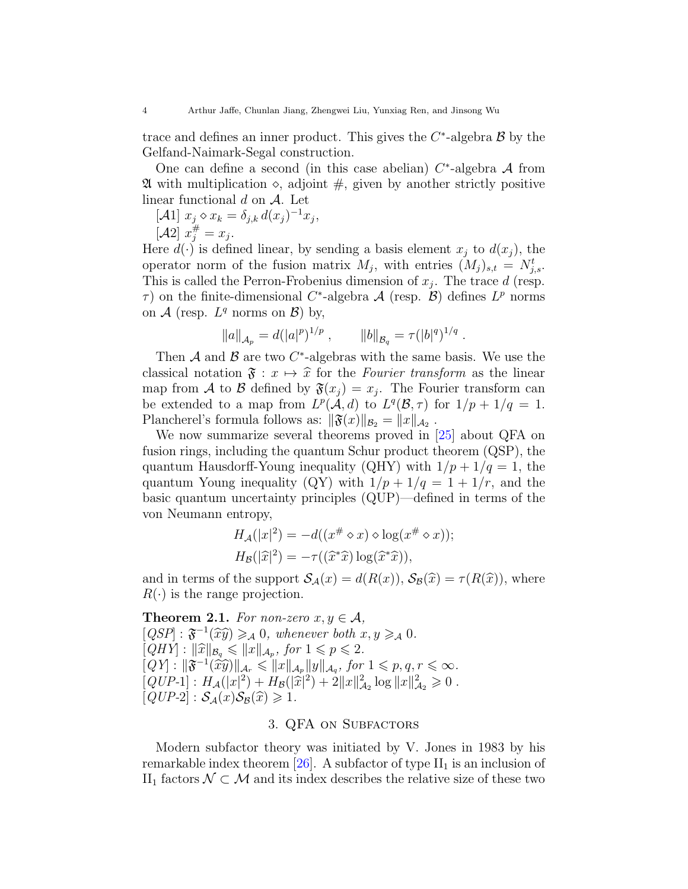trace and defines an inner product. This gives the  $C^*$ -algebra  $\mathcal B$  by the Gelfand-Naimark-Segal construction.

One can define a second (in this case abelian)  $C^*$ -algebra A from  $\mathfrak A$  with multiplication  $\diamond$ , adjoint  $\#$ , given by another strictly positive linear functional  $d$  on  $A$ . Let

 $[\mathcal{A}1]$   $x_j \diamond x_k = \delta_{j,k} d(x_j)^{-1} x_j,$  $[\mathcal{A}2] \; x_j^{\#} = x_j.$ 

Here  $d(\cdot)$  is defined linear, by sending a basis element  $x_i$  to  $d(x_i)$ , the operator norm of the fusion matrix  $M_j$ , with entries  $(M_j)_{s,t} = N^t_{j,s}$ . This is called the Perron-Frobenius dimension of  $x_j$ . The trace d (resp.  $\tau$ ) on the finite-dimensional C<sup>\*</sup>-algebra  $\mathcal{A}$  (resp.  $\mathcal{B}$ ) defines  $L^p$  norms on  $A$  (resp.  $L^q$  norms on  $B$ ) by,

$$
||a||_{\mathcal{A}_p} = d(|a|^p)^{1/p}
$$
,  $||b||_{\mathcal{B}_q} = \tau(|b|^q)^{1/q}$ .

Then  $A$  and  $B$  are two  $C^*$ -algebras with the same basis. We use the classical notation  $\mathfrak{F} : x \mapsto \hat{x}$  for the Fourier transform as the linear map from A to B defined by  $\mathfrak{F}(x_j) = x_j$ . The Fourier transform can be extended to a map from  $L^p(\mathcal{A}, d)$  to  $L^q(\mathcal{B}, \tau)$  for  $1/p + 1/q = 1$ . Plancherel's formula follows as:  $\|\mathfrak{F}(x)\|_{\mathcal{B}_2} = \|x\|_{\mathcal{A}_2}$ .

We now summarize several theorems proved in [\[25\]](#page-16-12) about QFA on fusion rings, including the quantum Schur product theorem (QSP), the quantum Hausdorff-Young inequality (QHY) with  $1/p + 1/q = 1$ , the quantum Young inequality (QY) with  $1/p + 1/q = 1 + 1/r$ , and the basic quantum uncertainty principles (QUP)—defined in terms of the von Neumann entropy,

$$
H_{\mathcal{A}}(|x|^2) = -d((x^{\#} \diamond x) \diamond \log(x^{\#} \diamond x));
$$
  
\n
$$
H_{\mathcal{B}}(|\widehat{x}|^2) = -\tau((\widehat{x}^*\widehat{x})\log(\widehat{x}^*\widehat{x})),
$$

and in terms of the support  $\mathcal{S}_{\mathcal{A}}(x) = d(R(x)), \mathcal{S}_{\mathcal{B}}(\widehat{x}) = \tau(R(\widehat{x})),$  where  $R(\cdot)$  is the range projection.

<span id="page-3-1"></span>**Theorem 2.1.** For non-zero  $x, y \in A$ ,  $[QSP] : \mathfrak{F}^{-1}(\widehat{x}\widehat{y}) \geq_{\mathcal{A}} 0$ , whenever both  $x, y \geq_{\mathcal{A}} 0$ .  $[QHY] : \|\widehat{x}\|_{\mathcal{B}_q} \leq \|x\|_{\mathcal{A}_p}, \text{ for } 1 \leq p \leq 2.$  $[QY] : \|\mathfrak{F}^{-1}(\hat{x}\hat{y})\|_{\mathcal{A}_r} \leq \|x\|_{\mathcal{A}_p} \|y\|_{\mathcal{A}_q}, \text{ for } 1 \leq p, q, r \leq \infty.$  $[QUP-1] : H_{\mathcal{A}}(|x|^2) + H_{\mathcal{B}}(|\hat{x}|^2) + 2||x||_{\mathcal{A}_2}^2 \log ||x||_{\mathcal{A}_2}^2 \geq 0.$  $[QUP-2] : S_{\mathcal{A}}(x)S_{\mathcal{B}}(\widehat{x}) \geq 1.$ 

# 3. QFA on Subfactors

<span id="page-3-0"></span>Modern subfactor theory was initiated by V. Jones in 1983 by his remarkable index theorem  $[26]$ . A subfactor of type  $II_1$  is an inclusion of II<sub>1</sub> factors  $\mathcal{N} \subset \mathcal{M}$  and its index describes the relative size of these two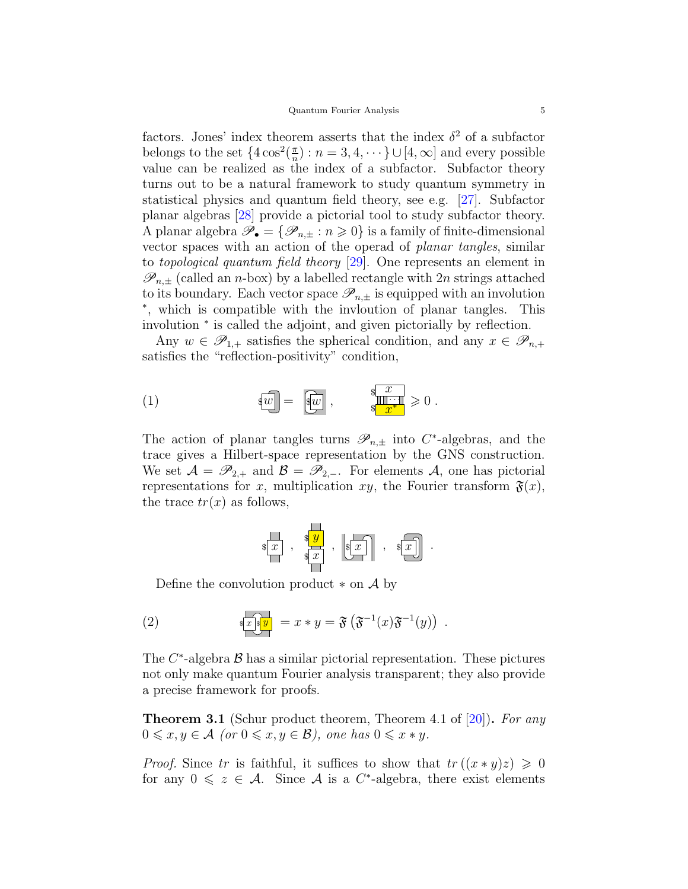factors. Jones' index theorem asserts that the index  $\delta^2$  of a subfactor belongs to the set  $\{4\cos^2(\frac{\pi}{n})\}$  $\binom{\pi}{n}$  :  $n = 3, 4, \dots$  }  $\cup$  [4,  $\infty$ ] and every possible value can be realized as the index of a subfactor. Subfactor theory turns out to be a natural framework to study quantum symmetry in statistical physics and quantum field theory, see e.g. [\[27\]](#page-16-14). Subfactor planar algebras [\[28\]](#page-16-15) provide a pictorial tool to study subfactor theory. A planar algebra  $\mathscr{P}_{\bullet} = {\mathscr{P}_{n,\pm} : n \geqslant 0}$  is a family of finite-dimensional vector spaces with an action of the operad of planar tangles, similar to topological quantum field theory [\[29\]](#page-16-16). One represents an element in  $\mathscr{P}_{n,\pm}$  (called an *n*-box) by a labelled rectangle with 2*n* strings attached to its boundary. Each vector space  $\mathscr{P}_{n,\pm}$  is equipped with an involution ∗ , which is compatible with the invloution of planar tangles. This involution <sup>∗</sup> is called the adjoint, and given pictorially by reflection.

Any  $w \in \mathscr{P}_{1,+}$  satisfies the spherical condition, and any  $x \in \mathscr{P}_{n,+}$ satisfies the "reflection-positivity" condition,

<span id="page-4-0"></span>
$$
\mathbf{w} = \begin{bmatrix} \overline{\mathbf{w}} \\ \overline{\mathbf{w}} \end{bmatrix}, \qquad \mathbf{w} = \begin{bmatrix} \overline{\mathbf{w}} \\ \overline{\mathbf{w}} \end{bmatrix}, \qquad \mathbf{w} = \begin{bmatrix} \overline{\mathbf{w}} \\ \overline{\mathbf{w}} \end{bmatrix}
$$

The action of planar tangles turns  $\mathscr{P}_{n,\pm}$  into C<sup>\*</sup>-algebras, and the trace gives a Hilbert-space representation by the GNS construction. We set  $A = \mathscr{P}_{2,+}$  and  $B = \mathscr{P}_{2,-}$ . For elements A, one has pictorial representations for x, multiplication xy, the Fourier transform  $\mathfrak{F}(x)$ , the trace  $tr(x)$  as follows,

$$
*\begin{array}{|c|c|c|c|c|}\n\hline\n\ast & & \ast & \\
\hline\n\ast & & \ast & \\
\hline\n\end{array}, \begin{array}{|c|c|c|c|}\n\hline\n\ast & & \ast & \\
\hline\n\ast & & \ast & \\
\hline\n\end{array}.
$$

Define the convolution product  $*$  on  $\mathcal A$  by

(2) 
$$
\sqrt{\mathbf{x} \cdot \mathbf{y}} = x * y = \mathbf{\mathfrak{F}} \left( \mathbf{\mathfrak{F}}^{-1}(x) \mathbf{\mathfrak{F}}^{-1}(y) \right).
$$

The  $C^*$ -algebra  $\mathcal B$  has a similar pictorial representation. These pictures not only make quantum Fourier analysis transparent; they also provide a precise framework for proofs.

**Theorem 3.1** (Schur product theorem, Theorem 4.1 of [\[20\]](#page-16-7)). For any  $0 \leqslant x, y \in A$  (or  $0 \leqslant x, y \in B$ ), one has  $0 \leqslant x \cdot y$ .

*Proof.* Since tr is faithful, it suffices to show that  $tr((x * y)z) \geq 0$ for any  $0 \leq z \in \mathcal{A}$ . Since  $\mathcal A$  is a  $C^*$ -algebra, there exist elements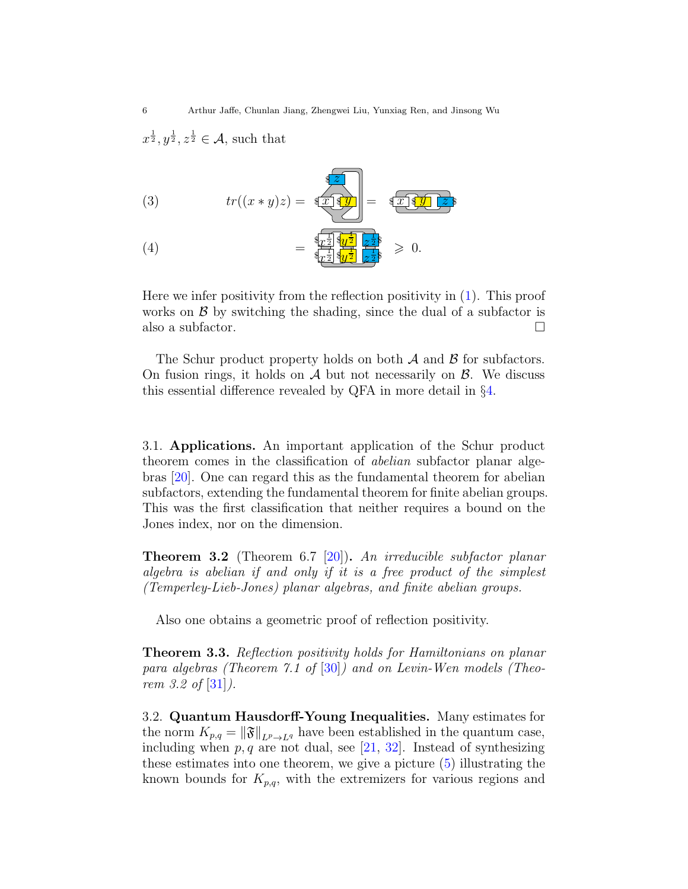$x^{\frac{1}{2}}, y^{\frac{1}{2}}, z^{\frac{1}{2}} \in \mathcal{A}$ , such that

(3) 
$$
tr((x * y)z) = \frac{\sqrt[4]{z}}{\sqrt[4]{x} \sqrt[4]{y}} = \sqrt[4]{x \sqrt[4]{y} \sqrt[2]{z}}
$$

<span id="page-5-2"></span>(4) 
$$
= \frac{\sqrt[4]{x^{\frac{1}{2}}}\sqrt[4]{y^{\frac{1}{2}}}}{\sqrt[4]{x^{\frac{1}{2}}}\sqrt[4]{y^{\frac{1}{2}}}} \frac{\sqrt{1}}{z^{\frac{1}{2}}} \geq 0.
$$

Here we infer positivity from the reflection positivity in [\(1\)](#page-4-0). This proof works on  $\beta$  by switching the shading, since the dual of a subfactor is also a subfactor.

The Schur product property holds on both  $A$  and  $B$  for subfactors. On fusion rings, it holds on  $\mathcal A$  but not necessarily on  $\mathcal B$ . We discuss this essential difference revealed by QFA in more detail in §[4.](#page-6-0)

<span id="page-5-0"></span>3.1. Applications. An important application of the Schur product theorem comes in the classification of abelian subfactor planar algebras [\[20\]](#page-16-7). One can regard this as the fundamental theorem for abelian subfactors, extending the fundamental theorem for finite abelian groups. This was the first classification that neither requires a bound on the Jones index, nor on the dimension.

Theorem 3.2 (Theorem 6.7 [\[20\]](#page-16-7)). An irreducible subfactor planar algebra is abelian if and only if it is a free product of the simplest (Temperley-Lieb-Jones) planar algebras, and finite abelian groups.

Also one obtains a geometric proof of reflection positivity.

Theorem 3.3. Reflection positivity holds for Hamiltonians on planar para algebras (Theorem 7.1 of [\[30\]](#page-16-17)) and on Levin-Wen models (Theo*rem 3.2 of*  $[31]$ .

<span id="page-5-1"></span>3.2. Quantum Hausdorff-Young Inequalities. Many estimates for the norm  $K_{p,q} = \|\mathfrak{F}\|_{L^p \to L^q}$  have been established in the quantum case, including when  $p, q$  are not dual, see [\[21,](#page-16-8) [32\]](#page-16-19). Instead of synthesizing these estimates into one theorem, we give a picture [\(5\)](#page-6-2) illustrating the known bounds for  $K_{p,q}$ , with the extremizers for various regions and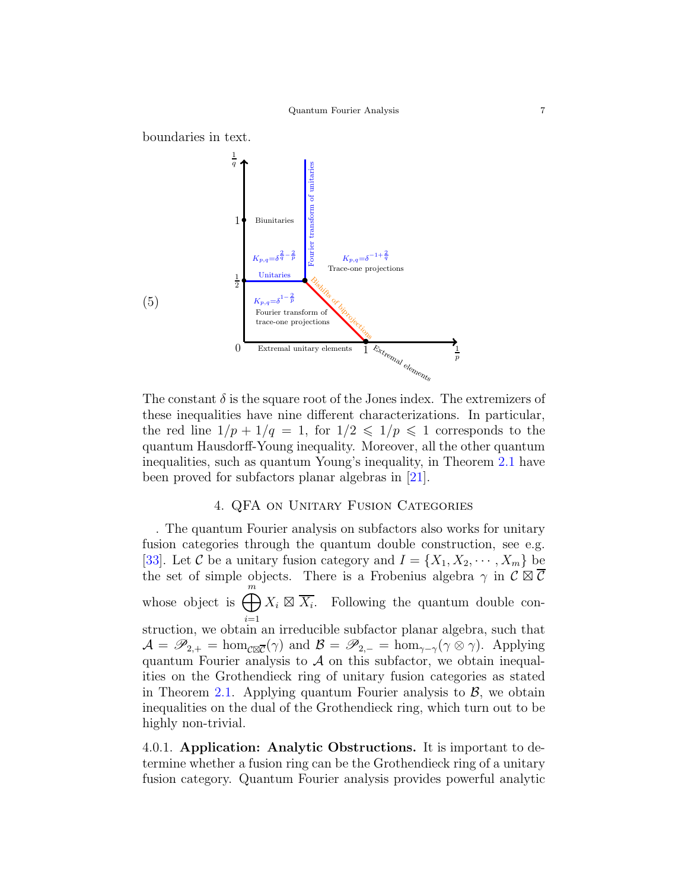

<span id="page-6-2"></span>The constant  $\delta$  is the square root of the Jones index. The extremizers of these inequalities have nine different characterizations. In particular, the red line  $1/p + 1/q = 1$ , for  $1/2 \leq 1/p \leq 1$  corresponds to the quantum Hausdorff-Young inequality. Moreover, all the other quantum inequalities, such as quantum Young's inequality, in Theorem [2.1](#page-3-1) have been proved for subfactors planar algebras in [\[21\]](#page-16-8).

## 4. QFA on Unitary Fusion Categories

<span id="page-6-0"></span>. The quantum Fourier analysis on subfactors also works for unitary fusion categories through the quantum double construction, see e.g. [\[33\]](#page-16-20). Let C be a unitary fusion category and  $I = \{X_1, X_2, \dots, X_m\}$  be the set of simple objects. There is a Frobenius algebra  $\gamma$  in  $\mathcal{C} \boxtimes \overline{\mathcal{C}}$ whose object is  $\bigoplus^m$  $i=1$  $X_i \boxtimes \overline{X_i}$ . Following the quantum double construction, we obtain an irreducible subfactor planar algebra, such that  $\mathcal{A} = \mathscr{P}_{2,+} = \hom_{\mathcal{C} \boxtimes \overline{\mathcal{C}}}(\gamma)$  and  $\mathcal{B} = \mathscr{P}_{2,-} = \hom_{\gamma-\gamma}(\gamma \otimes \gamma)$ . Applying quantum Fourier analysis to  $A$  on this subfactor, we obtain inequalities on the Grothendieck ring of unitary fusion categories as stated in Theorem [2.1.](#page-3-1) Applying quantum Fourier analysis to  $\mathcal{B}$ , we obtain inequalities on the dual of the Grothendieck ring, which turn out to be highly non-trivial.

<span id="page-6-1"></span>4.0.1. Application: Analytic Obstructions. It is important to determine whether a fusion ring can be the Grothendieck ring of a unitary fusion category. Quantum Fourier analysis provides powerful analytic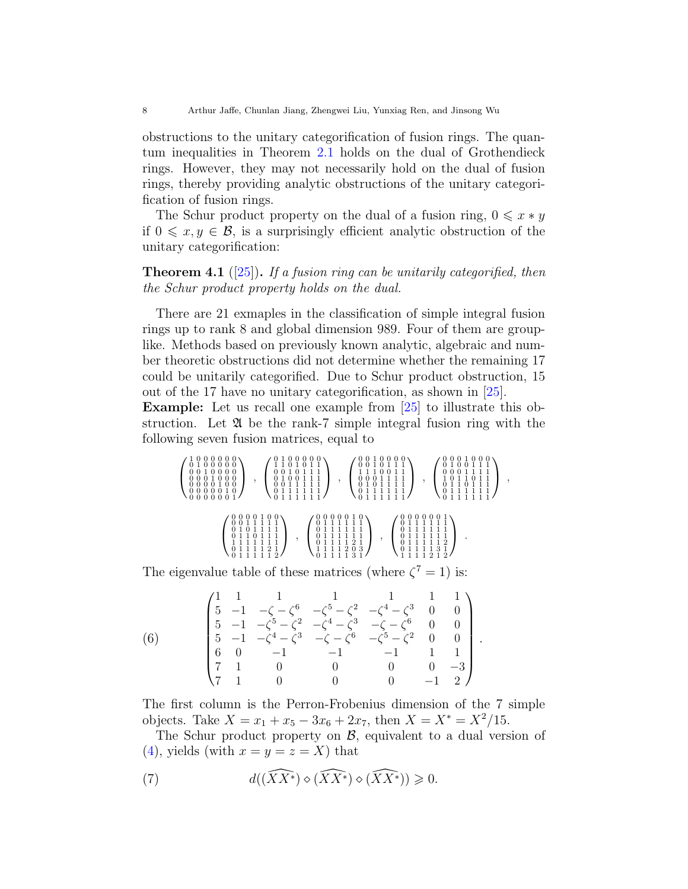obstructions to the unitary categorification of fusion rings. The quantum inequalities in Theorem [2.1](#page-3-1) holds on the dual of Grothendieck rings. However, they may not necessarily hold on the dual of fusion rings, thereby providing analytic obstructions of the unitary categorification of fusion rings.

The Schur product property on the dual of a fusion ring,  $0 \leq x * y$ if  $0 \leq x, y \in \mathcal{B}$ , is a surprisingly efficient analytic obstruction of the unitary categorification:

**Theorem 4.1** ([\[25\]](#page-16-12)). If a fusion ring can be unitarily categorified, then the Schur product property holds on the dual.

There are 21 exmaples in the classification of simple integral fusion rings up to rank 8 and global dimension 989. Four of them are grouplike. Methods based on previously known analytic, algebraic and number theoretic obstructions did not determine whether the remaining 17 could be unitarily categorified. Due to Schur product obstruction, 15 out of the 17 have no unitary categorification, as shown in [\[25\]](#page-16-12).

Example: Let us recall one example from [\[25\]](#page-16-12) to illustrate this obstruction. Let  $\mathfrak A$  be the rank-7 simple integral fusion ring with the following seven fusion matrices, equal to

 1 0 0 0 0 0 0 0 1 0 0 0 0 0 0 0 1 0 0 0 0 0 0 0 1 0 0 0 0 0 0 0 1 0 0 0 0 0 0 0 1 0 0 0 0 0 0 0 1 , 0 1 0 0 0 0 0 1 1 0 1 0 1 1 0 0 1 0 1 1 1 0 1 0 0 1 1 1 0 0 1 1 1 1 1 0 1 1 1 1 1 1 0 1 1 1 1 1 1 , 0 0 1 0 0 0 0 0 0 1 0 1 1 1 1 1 1 0 0 1 1 0 0 0 1 1 1 1 0 1 0 1 1 1 1 0 1 1 1 1 1 1 0 1 1 1 1 1 1 , 0 0 0 1 0 0 0 0 1 0 0 1 1 1 0 0 0 1 1 1 1 1 0 1 1 0 1 1 0 1 1 0 1 1 1 0 1 1 1 1 1 1 0 1 1 1 1 1 1 , 0 0 0 0 1 0 0 0 0 1 1 1 1 1 0 1 0 1 1 1 1 0 1 1 0 1 1 1 1 1 1 1 1 1 1 0 1 1 1 1 2 1 0 1 1 1 1 1 2 , 0 0 0 0 0 1 0 0 1 1 1 1 1 1 0 1 1 1 1 1 1 0 1 1 1 1 1 1 0 1 1 1 1 2 1 1 1 1 1 2 0 3 0 1 1 1 1 3 1 , 0 0 0 0 0 0 1 0 1 1 1 1 1 1 0 1 1 1 1 1 1 0 1 1 1 1 1 1 0 1 1 1 1 1 2 0 1 1 1 1 3 1 1 1 1 1 2 1 2 .

The eigenvalue table of these matrices (where  $\zeta^7 = 1$ ) is:

(6) 
$$
\begin{pmatrix}\n1 & 1 & 1 & 1 & 1 & 1 \\
5 & -1 & -\zeta - \zeta^6 & -\zeta^5 - \zeta^2 & -\zeta^4 - \zeta^3 & 0 & 0 \\
5 & -1 & -\zeta^5 - \zeta^2 & -\zeta^4 - \zeta^3 & -\zeta - \zeta^6 & 0 & 0 \\
5 & -1 & -\zeta^4 - \zeta^3 & -\zeta - \zeta^6 & -\zeta^5 - \zeta^2 & 0 & 0 \\
6 & 0 & -1 & -1 & -1 & 1 & 1 \\
7 & 1 & 0 & 0 & 0 & 0 & -3 \\
7 & 1 & 0 & 0 & 0 & -1 & 2\n\end{pmatrix}.
$$

The first column is the Perron-Frobenius dimension of the 7 simple objects. Take  $X = x_1 + x_5 - 3x_6 + 2x_7$ , then  $X = X^* = X^2/15$ .

The Schur product property on  $\mathcal{B}$ , equivalent to a dual version of [\(4\)](#page-5-2), yields (with  $x = y = z = X$ ) that

<span id="page-7-0"></span>(7) 
$$
d((\widehat{XX^*}) \diamond (\widehat{XX^*}) \diamond (\widehat{XX^*})) \geq 0.
$$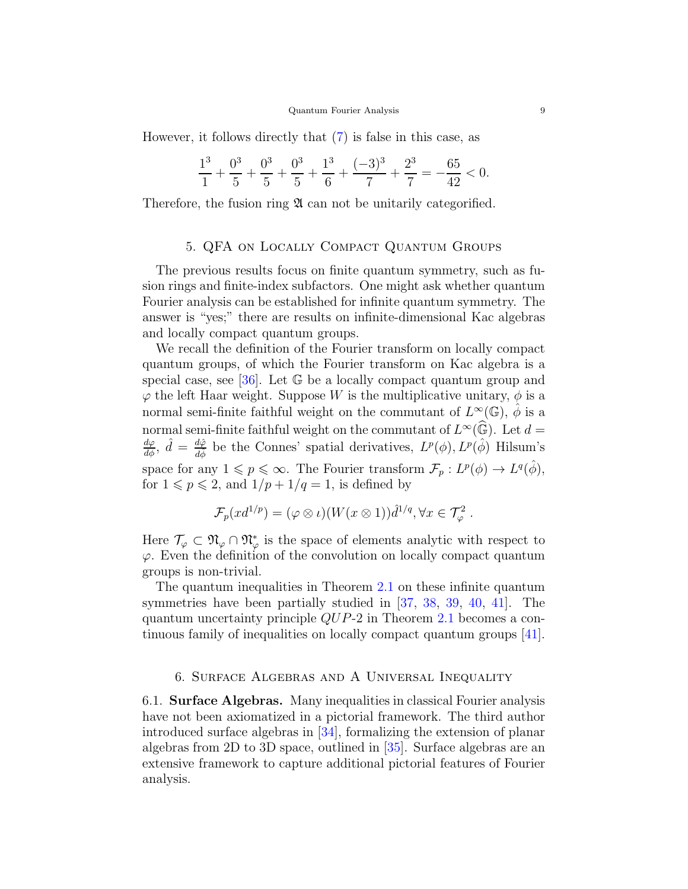However, it follows directly that [\(7\)](#page-7-0) is false in this case, as

$$
\frac{1^3}{1} + \frac{0^3}{5} + \frac{0^3}{5} + \frac{0^3}{5} + \frac{1^3}{6} + \frac{(-3)^3}{7} + \frac{2^3}{7} = -\frac{65}{42} < 0.
$$

<span id="page-8-0"></span>Therefore, the fusion ring  $\mathfrak A$  can not be unitarily categorified.

# 5. QFA on Locally Compact Quantum Groups

The previous results focus on finite quantum symmetry, such as fusion rings and finite-index subfactors. One might ask whether quantum Fourier analysis can be established for infinite quantum symmetry. The answer is "yes;" there are results on infinite-dimensional Kac algebras and locally compact quantum groups.

We recall the definition of the Fourier transform on locally compact quantum groups, of which the Fourier transform on Kac algebra is a special case, see [\[36\]](#page-17-0). Let  $\mathbb G$  be a locally compact quantum group and  $\varphi$  the left Haar weight. Suppose W is the multiplicative unitary,  $\phi$  is a normal semi-finite faithful weight on the commutant of  $L^{\infty}(\mathbb{G})$ ,  $\hat{\phi}$  is a normal semi-finite faithful weight on the commutant of  $L^{\infty}(\widehat{\mathbb{G}})$ . Let  $d = \frac{d\varphi}{d\phi}$ ,  $\hat{d} = \frac{d\hat{\varphi}}{d\hat{\phi}}$  be the Connes' spatial derivatives,  $L^{p}(\phi)$ ,  $L^{p}(\hat{\phi})$  Hilsum's space for any  $1 \leqslant p \leqslant \infty$ . The Fourier transform  $\mathcal{F}_p : L^p(\phi) \to L^q(\hat{\phi}),$ for  $1 \leqslant p \leqslant 2$ , and  $1/p + 1/q = 1$ , is defined by

$$
\mathcal{F}_p(xd^{1/p}) = (\varphi \otimes \iota)(W(x \otimes 1))\hat{d}^{1/q}, \forall x \in \mathcal{T}_\varphi^2.
$$

Here  $\mathcal{T}_{\varphi} \subset \mathfrak{N}_{\varphi} \cap \mathfrak{N}_{\varphi}^*$  is the space of elements analytic with respect to  $\varphi$ . Even the definition of the convolution on locally compact quantum groups is non-trivial.

The quantum inequalities in Theorem [2.1](#page-3-1) on these infinite quantum symmetries have been partially studied in [\[37,](#page-17-1) [38,](#page-17-2) [39,](#page-17-3) [40,](#page-17-4) [41\]](#page-17-5). The quantum uncertainty principle QUP-2 in Theorem [2.1](#page-3-1) becomes a continuous family of inequalities on locally compact quantum groups [\[41\]](#page-17-5).

#### <span id="page-8-1"></span>6. Surface Algebras and A Universal Inequality

<span id="page-8-2"></span>6.1. Surface Algebras. Many inequalities in classical Fourier analysis have not been axiomatized in a pictorial framework. The third author introduced surface algebras in [\[34\]](#page-16-21), formalizing the extension of planar algebras from 2D to 3D space, outlined in [\[35\]](#page-16-22). Surface algebras are an extensive framework to capture additional pictorial features of Fourier analysis.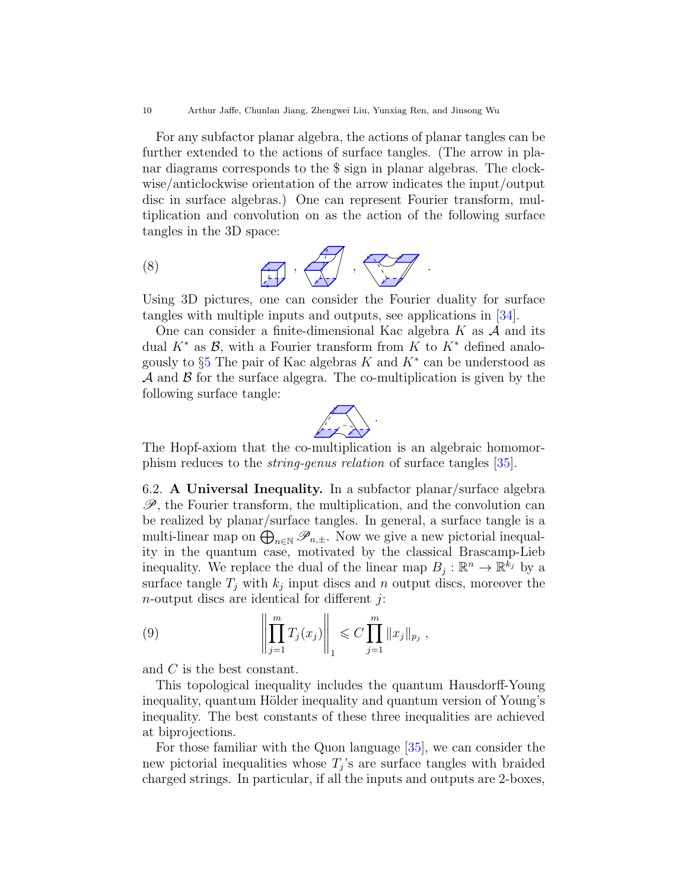For any subfactor planar algebra, the actions of planar tangles can be further extended to the actions of surface tangles. (The arrow in planar diagrams corresponds to the \$ sign in planar algebras. The clockwise/anticlockwise orientation of the arrow indicates the input/output disc in surface algebras.) One can represent Fourier transform, multiplication and convolution on as the action of the following surface tangles in the 3D space:

$$
\begin{array}{ccc} (8) & & & \overbrace{\phantom{...}}^{A} & \\ & & & \overbrace{\phantom{...}}^{A} & \\ & & & \overbrace{\phantom{...}}^{A} & \\ & & & & \end{array}
$$

Using 3D pictures, one can consider the Fourier duality for surface tangles with multiple inputs and outputs, see applications in [\[34\]](#page-16-21).

One can consider a finite-dimensional Kac algebra  $K$  as  $A$  and its dual  $K^*$  as  $\mathcal{B}$ , with a Fourier transform from K to  $K^*$  defined analogously to  $\S5$  $\S5$  The pair of Kac algebras K and  $K^*$  can be understood as  $\mathcal A$  and  $\mathcal B$  for the surface algegra. The co-multiplication is given by the following surface tangle:



The Hopf-axiom that the co-multiplication is an algebraic homomorphism reduces to the string-genus relation of surface tangles [\[35\]](#page-16-22).

<span id="page-9-0"></span>6.2. A Universal Inequality. In a subfactor planar/surface algebra  $\mathscr{P}$ , the Fourier transform, the multiplication, and the convolution can be realized by planar/surface tangles. In general, a surface tangle is a multi-linear map on  $\bigoplus_{n\in\mathbb{N}}\mathscr{P}_{n,\pm}$ . Now we give a new pictorial inequality in the quantum case, motivated by the classical Brascamp-Lieb inequality. We replace the dual of the linear map  $B_j : \mathbb{R}^n \to \mathbb{R}^{\overline{k}_j}$  by a surface tangle  $T_j$  with  $k_j$  input discs and n output discs, moreover the  $n$ -output discs are identical for different  $i$ :

<span id="page-9-1"></span>(9) 
$$
\left\| \prod_{j=1}^m T_j(x_j) \right\|_1 \leq C \prod_{j=1}^m \|x_j\|_{p_j},
$$

and C is the best constant.

This topological inequality includes the quantum Hausdorff-Young inequality, quantum Hölder inequality and quantum version of Young's inequality. The best constants of these three inequalities are achieved at biprojections.

For those familiar with the Quon language [\[35\]](#page-16-22), we can consider the new pictorial inequalities whose  $T_j$ 's are surface tangles with braided charged strings. In particular, if all the inputs and outputs are 2-boxes,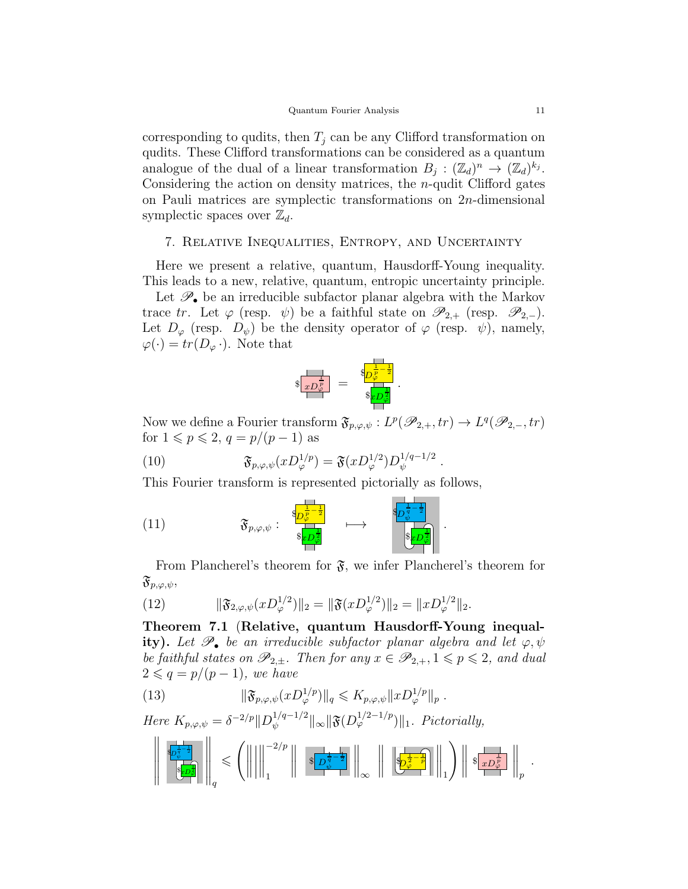corresponding to qudits, then  $T_i$  can be any Clifford transformation on qudits. These Clifford transformations can be considered as a quantum analogue of the dual of a linear transformation  $B_j : (\mathbb{Z}_d)^n \to (\mathbb{Z}_d)^{k_j}$ . Considering the action on density matrices, the  $n$ -qudit Clifford gates on Pauli matrices are symplectic transformations on 2n-dimensional symplectic spaces over  $\mathbb{Z}_d$ .

#### <span id="page-10-0"></span>7. Relative Inequalities, Entropy, and Uncertainty

Here we present a relative, quantum, Hausdorff-Young inequality. This leads to a new, relative, quantum, entropic uncertainty principle.

Let  $\mathscr{P}_{\bullet}$  be an irreducible subfactor planar algebra with the Markov trace tr. Let  $\varphi$  (resp.  $\psi$ ) be a faithful state on  $\mathscr{P}_{2,+}$  (resp.  $\mathscr{P}_{2,-}$ ). Let  $D_{\varphi}$  (resp.  $D_{\psi}$ ) be the density operator of  $\varphi$  (resp.  $\psi$ ), namely,  $\varphi(\cdot) = tr(D_{\varphi} \cdot)$ . Note that



Now we define a Fourier transform  $\mathfrak{F}_{p,\varphi,\psi}: L^p(\mathscr{P}_{2,+}, tr) \to L^q(\mathscr{P}_{2,-}, tr)$ for  $1 \leqslant p \leqslant 2$ ,  $q = p/(p-1)$  as

.

.

(10) 
$$
\mathfrak{F}_{p,\varphi,\psi}(xD_{\varphi}^{1/p})=\mathfrak{F}(xD_{\varphi}^{1/2})D_{\psi}^{1/q-1/2}
$$

This Fourier transform is represented pictorially as follows,

(11) 
$$
\mathfrak{F}_{p,\varphi,\psi} : \begin{array}{c} \mathbb{S}_{p,\varphi,\psi}^{-\frac{1}{p}-\frac{1}{2}} \\ \mathbb{S}_{\mathbb{R}D^{\frac{1}{2}}_{\varphi}} & \longrightarrow \\ \mathbb{S}_{\mathbb{R}D^{\frac{1}{2}}_{\varphi}} & \mathbb{S}_{\mathbb{R}D^{\frac{1}{2}}_{\varphi}} \end{array}
$$

From Plancherel's theorem for  $\mathfrak{F}$ , we infer Plancherel's theorem for  $\mathfrak{F}_{p,\varphi,\psi},$ 

(12) 
$$
\|\mathfrak{F}_{2,\varphi,\psi}(xD^{1/2}_{\varphi})\|_2=\|\mathfrak{F}(xD^{1/2}_{\varphi})\|_2=\|xD^{1/2}_{\varphi}\|_2.
$$

<span id="page-10-1"></span>Theorem 7.1 (Relative, quantum Hausdorff-Young inequality). Let  $\mathscr{P}_{\bullet}$  be an irreducible subfactor planar algebra and let  $\varphi, \psi$ be faithful states on  $\mathscr{P}_{2,\pm}$ . Then for any  $x \in \mathscr{P}_{2,+}$ ,  $1 \leqslant p \leqslant 2$ , and dual  $2 \leqslant q = p/(p-1)$ , we have

(13) 
$$
\|\mathfrak{F}_{p,\varphi,\psi}(xD_{\varphi}^{1/p})\|_{q} \leqslant K_{p,\varphi,\psi} \|xD_{\varphi}^{1/p}\|_{p} .
$$

Here  $K_{p,\varphi,\psi} = \delta^{-2/p} ||D_{\psi}^{1/q-1/2}||$  $\frac{1}{\psi}^{\frac{1}{q-1/2}}$ || $\infty$ || $\mathfrak{F}(D^{1/2-1/p}_{\varphi})$ ||1. Pictorially,

$$
\left\|\frac{\overline{s_{p_\phi}^{\frac{1}{2}-\frac{1}{2}}}}{\overline{s_{p_\phi}^{\frac{1}{2}}}}\right\|_q \leqslant \left(\left\|\left\|\left\|\frac{^{-2/p}}{1}\right\|\right.\right.\,\left\|\frac{\overline{s_{p_\phi}^{\frac{1}{2}-\frac{1}{2}}}}{\overline{\psi}}\right\|_\infty\,\,\left\|\left\|\frac{\overline{s_{p_\phi}^{\frac{1}{2}-\frac{1}{p}}}}{\overline{\psi}^{\frac{1}{2}-\frac{1}{p}}}\right\|_1\right)\,\,\left\|\frac{\overline{s_{x,p_\phi}^{\frac{1}{2}}}}{\overline{\psi}^{\frac{1}{2}}}\right\|_p.
$$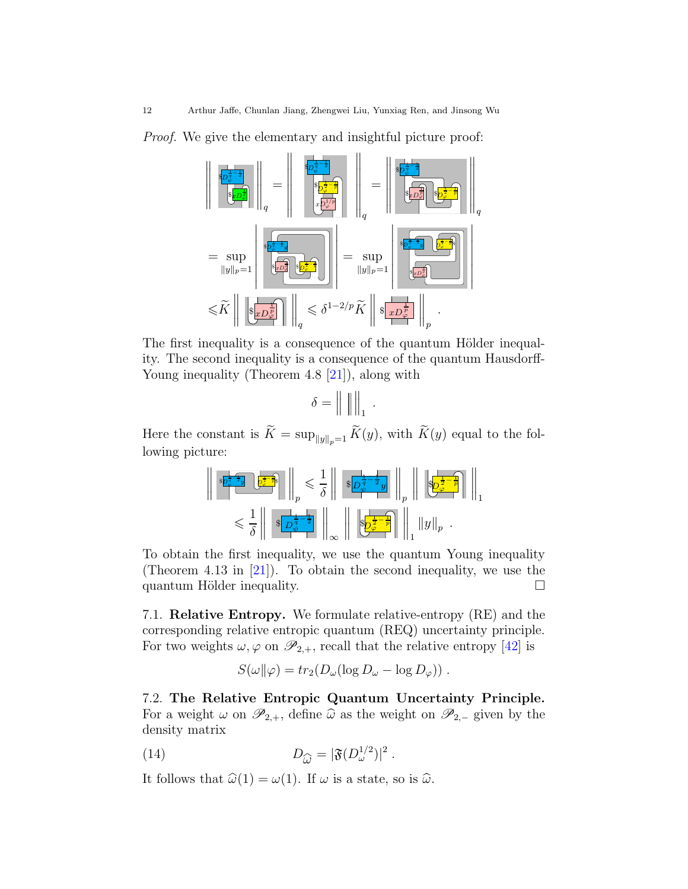Proof. We give the elementary and insightful picture proof:

$$
\begin{aligned}\n\left\| \frac{\sqrt[3]{p_{\varphi}^{\frac{1}{4}-\frac{1}{2}}}}{\sqrt[3]{p_{\varphi}^{\frac{1}{4}-\frac{1}{2}}}}\right\|_{q} &= \left\| \frac{\sqrt[3]{p_{\varphi}^{\frac{1}{4}-\frac{1}{2}}}}{\sqrt[3]{p_{\varphi}^{\frac{1}{4}-\frac{1}{2}}}}\right\|_{q} &= \left\| \frac{\sqrt[3]{p_{\varphi}^{\frac{1}{4}-\frac{1}{2}}}}{\sqrt[3]{p_{\varphi}^{\frac{1}{4}-\frac{1}{2}}}}\right\|_{q} \\
&= \sup_{\|y\|_{p}=1}\left\| \frac{\sqrt[3]{p_{\varphi}^{\frac{1}{4}-\frac{1}{2}}}}{\sqrt[3]{p_{\varphi}^{\frac{1}{4}-\frac{1}{2}}}}\right\|_{q} &= \sup_{\|y\|_{p}=1}\left\| \frac{\sqrt[3]{p_{\varphi}^{\frac{1}{4}-\frac{1}{2}}}}{\sqrt[3]{p_{\varphi}^{\frac{1}{4}-\frac{1}{2}}}}\right\|_{q} \\
&\leq \widetilde{K}\left\| \left\| \sqrt[3]{\frac{p_{\varphi}^{\frac{1}{4}-\frac{1}{2}}}}\right\|_{q} \leq \delta^{1-2/p} \widetilde{K}\right\| \sqrt[3]{\frac{p_{\varphi}^{\frac{1}{4}-\frac{1}{2}}}{p}}\right\|_{p}.\n\end{aligned}
$$

The first inequality is a consequence of the quantum Hölder inequality. The second inequality is a consequence of the quantum Hausdorff-Young inequality (Theorem 4.8 [\[21\]](#page-16-8)), along with

$$
\delta = \left\| \begin{array}{c} 0 \\ 0 \end{array} \right\|_1.
$$

Here the constant is  $\widetilde{K} = \sup_{\|y\|_p=1} \widetilde{K}(y)$ , with  $\widetilde{K}(y)$  equal to the following picture:

$$
\begin{array}{r} \left\| \sqrt[3]{\frac{1}{2} - \frac{1}{2}y} \sqrt[3]{\frac{1}{2} - \frac{1}{2}y} \right\|_p \leq \frac{1}{\delta} \left\| \sqrt[3]{\frac{1}{2} - \frac{1}{2}y} \right\|_p \left\| \sqrt[3]{\frac{1}{2} - \frac{1}{p}} \right\|_1 \leq \frac{1}{\delta} \left\| \sqrt[3]{\frac{1}{2} - \frac{1}{2}y} \right\|_p \leq \frac{1}{\delta} \left\| \sqrt[3]{\frac{1}{2} - \frac{1}{2}y} \right\|_p \leq \frac{1}{\delta} \left\| \sqrt[3]{\frac{1}{2} - \frac{1}{2}y} \right\|_p \leq \frac{1}{\delta} \left\| \sqrt[3]{\frac{1}{2} - \frac{1}{2}y} \right\|_p \leq \frac{1}{\delta} \left\| \sqrt[3]{\frac{1}{2} - \frac{1}{2}y} \right\|_p \leq \frac{1}{\delta} \left\| \sqrt[3]{\frac{1}{2} - \frac{1}{2}y} \right\|_p \leq \frac{1}{\delta} \left\| \sqrt[3]{\frac{1}{2} - \frac{1}{2}y} \right\|_p \leq \frac{1}{\delta} \left\| \sqrt[3]{\frac{1}{2} - \frac{1}{2}y} \right\|_p \leq \frac{1}{\delta} \left\| \sqrt[3]{\frac{1}{2} - \frac{1}{2}y} \right\|_p \leq \frac{1}{\delta} \left\| \sqrt[3]{\frac{1}{2} - \frac{1}{2}y} \right\|_p \leq \frac{1}{\delta} \left\| \sqrt[3]{\frac{1}{2} - \frac{1}{2}y} \right\|_p \leq \frac{1}{\delta} \left\| \sqrt[3]{\frac{1}{2} - \frac{1}{2}y} \right\|_p \leq \frac{1}{\delta} \left\| \sqrt[3]{\frac{1}{2} - \frac{1}{2}y} \right\|_p \leq \frac{1}{\delta} \left\| \sqrt[3]{\frac{1}{2} - \frac{1}{2}y} \right\|_p \leq \frac{1}{\delta} \left\| \sqrt[3]{\frac{1
$$

To obtain the first inequality, we use the quantum Young inequality (Theorem 4.13 in [\[21\]](#page-16-8)). To obtain the second inequality, we use the quantum Hölder inequality.  $\Box$ 

<span id="page-11-0"></span>7.1. Relative Entropy. We formulate relative-entropy (RE) and the corresponding relative entropic quantum (REQ) uncertainty principle. For two weights  $\omega, \varphi$  on  $\mathscr{P}_{2,+}$ , recall that the relative entropy [\[42\]](#page-17-6) is

<span id="page-11-2"></span>
$$
S(\omega||\varphi) = tr_2(D_\omega(\log D_\omega - \log D_\varphi)) \ .
$$

<span id="page-11-1"></span>7.2. The Relative Entropic Quantum Uncertainty Principle. For a weight  $\omega$  on  $\mathscr{P}_{2,+}$ , define  $\widehat{\omega}$  as the weight on  $\mathscr{P}_{2,-}$  given by the density matrix

(14) 
$$
D_{\widehat{\omega}} = |\mathfrak{F}(D_{\omega}^{1/2})|^2.
$$

It follows that  $\widehat{\omega}(1) = \omega(1)$ . If  $\omega$  is a state, so is  $\widehat{\omega}$ .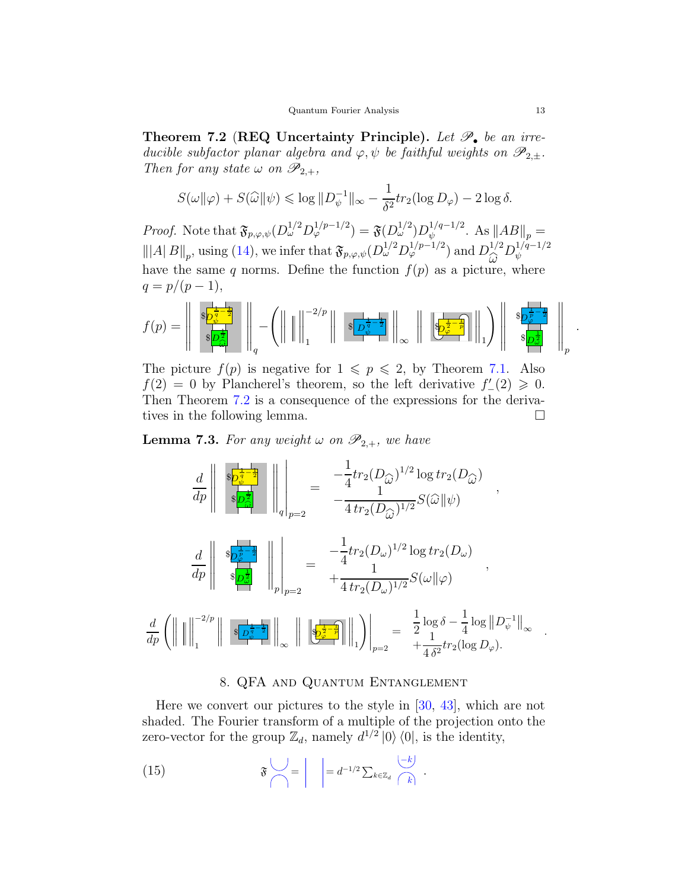<span id="page-12-1"></span>Theorem 7.2 (REQ Uncertainty Principle). Let  $\mathscr{P}_{\bullet}$  be an irreducible subfactor planar algebra and  $\varphi, \psi$  be faithful weights on  $\mathscr{P}_{2,\pm}$ . Then for any state  $\omega$  on  $\mathscr{P}_{2,+}$ ,

$$
S(\omega||\varphi) + S(\widehat{\omega}||\psi) \le \log ||D_{\psi}^{-1}||_{\infty} - \frac{1}{\delta^2} tr_2(\log D_{\varphi}) - 2 \log \delta.
$$

*Proof.* Note that  $\mathfrak{F}_{p,q,\psi}(D_{\omega}^{1/2}D_{\varphi}^{1/p-1/2}) = \mathfrak{F}(D_{\omega}^{1/2})D_{\psi}^{1/q-1/2}$  $_{\psi}^{1/q-1/2}$ . As  $||AB||_p =$  $\|A\|B\|_p$ , using [\(14\)](#page-11-2), we infer that  $\mathfrak{F}_{p,\varphi,\psi}(D_{\omega}^{1/2}D_{\varphi}^{1/p-1/2})$  and  $D_{\widehat{\omega}}^{1/2}$  $\overset{1/2}{\omega}D_\psi^{1/q-1/2}$ ψ have the same q norms. Define the function  $f(p)$  as a picture, where  $q = p/(p-1),$ 

$$
f(p) = \left\| \begin{array}{c} \sqrt[3]{\frac{1}{2}-\frac{1}{2}} \\ \sqrt[3]{\frac{1}{2}-\frac{1}{2}} \\ \sqrt[3]{\frac{1}{2}-\frac{1}{2}} \end{array} \right\|_q - \left( \left\| \left[ \left\| \begin{array}{c} \end{array} \right| \right|_1^{-2/p} \right\|_2 \sqrt[3]{\frac{1}{2}-\frac{1}{2}} \right\|_\infty \left\| \left[ \frac{1}{2-\frac{1}{2}-\frac{1}{2}} \right] \right\|_1 \right) \left\| \begin{array}{c} \sqrt[3]{\frac{1}{2}-\frac{1}{2}} \\ \sqrt[3]{\frac{1}{2}-\frac{1}{2}} \\ \sqrt[3]{\frac{1}{2}-\frac{1}{2}} \end{array} \right\|_p
$$

The picture  $f(p)$  is negative for  $1 \leqslant p \leqslant 2$ , by Theorem [7.1.](#page-10-1) Also  $f(2) = 0$  by Plancherel's theorem, so the left derivative  $f'_{-}(2) \geq 0$ . Then Theorem [7.2](#page-12-1) is a consequence of the expressions for the derivatives in the following lemma.

**Lemma 7.3.** For any weight  $\omega$  on  $\mathscr{P}_{2,+}$ , we have

$$
\frac{d}{dp}\left\| \begin{array}{c} \frac{\sinh^{-1}(\log h)}{\sinh^{-1}(\log h)} \\ \frac{\sinh^{-1}(\log h)}{\sinh^{-1}(\log h)} \end{array} \right\|_{q} \right\|_{p=2} = \frac{-\frac{1}{4}tr_{2}(D_{\widehat{\omega}})^{1/2}\log tr_{2}(D_{\widehat{\omega}})}{-\frac{1}{4}tr_{2}(D_{\widehat{\omega}})^{1/2}}S(\widehat{\omega}||\psi) ,
$$
\n
$$
\frac{d}{dp}\left\| \begin{array}{c} \frac{\sinh^{-1}(\log h)}{\sinh^{-1}(\log h)} \\ \frac{\sinh^{-1}(\log h)}{\sinh^{-1}(\log h)} \end{array} \right\|_{p=2} = \frac{-\frac{1}{4}tr_{2}(D_{\omega})^{1/2}\log tr_{2}(D_{\omega})}{\frac{1}{4}tr_{2}(D_{\omega})^{1/2}}S(\omega||\varphi) ,
$$
\n
$$
\frac{d}{dp}\left(\left\| \left\| \right\|_{1}^{-2/p}\right\| \begin{array}{c} \frac{\sinh^{-1}(\log h)}{\sinh^{-1}(\log h)} \\ \frac{\sinh^{-1}(\log h)}{\sinh^{-1}(\log h)} \end{array} \right\|_{p=2} = \frac{\frac{1}{2}\log \delta - \frac{1}{4}\log ||D_{\psi}^{-1}||_{\infty}}{\frac{1}{4\delta^{2}}tr_{2}(\log D_{\varphi})} .
$$

#### <span id="page-12-2"></span>8. QFA and Quantum Entanglement

<span id="page-12-0"></span>Here we convert our pictures to the style in [\[30,](#page-16-17) [43\]](#page-17-7), which are not shaded. The Fourier transform of a multiple of the projection onto the zero-vector for the group  $\mathbb{Z}_d$ , namely  $d^{1/2} |0\rangle\langle 0|$ , is the identity,

(15) 
$$
\mathfrak{F}\left(\bigvee_{k\in\mathbb{Z}_d}\left|\right| = d^{-1/2}\sum_{k\in\mathbb{Z}_d}\left|\frac{-k}{k}\right|.
$$

.

.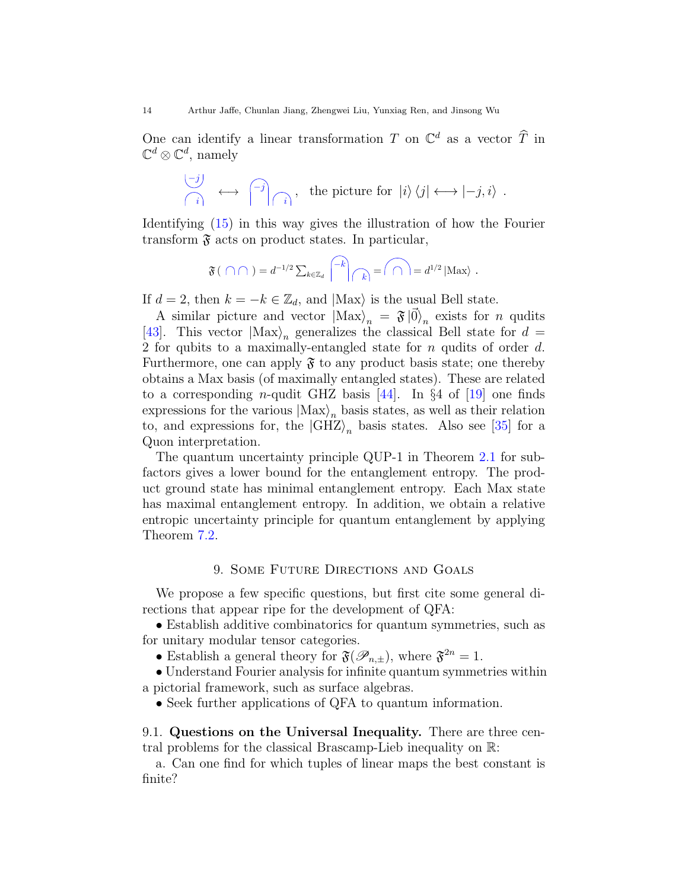One can identify a linear transformation T on  $\mathbb{C}^d$  as a vector  $\widehat{T}$  in  $\mathbb{C}^d \otimes \mathbb{C}^d$ , namely

$$
\overline{\begin{array}{ccc} \overline{-j} \\ \overline{i} \end{array}} \longleftrightarrow \overline{\begin{array}{ccc} \overline{-j} \\ \overline{i} \end{array}} \begin{array}{ccc} \overline{r} \\ \overline{i} \end{array}
$$
, the picture for  $|i\rangle \langle j| \longleftrightarrow |-j, i\rangle$ .

Identifying [\(15\)](#page-12-2) in this way gives the illustration of how the Fourier transform  $\mathfrak F$  acts on product states. In particular,

$$
\mathfrak{F}(\bigcap \bigcap) = d^{-1/2} \sum_{k \in \mathbb{Z}_d} \left\lceil \left\lceil k \right\rceil_{\bigcap k} \right\rceil = \bigcap_{k \in \mathbb{Z}_d} d^{1/2} \left\lceil \text{Max} \right\rceil.
$$

If  $d = 2$ , then  $k = -k \in \mathbb{Z}_d$ , and  $|\text{Max}\rangle$  is the usual Bell state.

A similar picture and vector  $|\text{Max}\rangle_n = \mathfrak{F}|\vec{0}\rangle_n$  exists for n qudits [\[43\]](#page-17-7). This vector  $|\text{Max}\rangle_n$  generalizes the classical Bell state for  $d =$ 2 for qubits to a maximally-entangled state for n qudits of order d. Furthermore, one can apply  $\mathfrak F$  to any product basis state; one thereby obtains a Max basis (of maximally entangled states). These are related to a corresponding *n*-qudit GHZ basis [\[44\]](#page-17-8). In §4 of [\[19\]](#page-16-6) one finds expressions for the various  $|Max\rangle_n$  basis states, as well as their relation to, and expressions for, the  $|GHZ\rangle_n$  basis states. Also see [\[35\]](#page-16-22) for a Quon interpretation.

The quantum uncertainty principle QUP-1 in Theorem [2.1](#page-3-1) for subfactors gives a lower bound for the entanglement entropy. The product ground state has minimal entanglement entropy. Each Max state has maximal entanglement entropy. In addition, we obtain a relative entropic uncertainty principle for quantum entanglement by applying Theorem [7.2.](#page-12-1)

#### 9. Some Future Directions and Goals

<span id="page-13-0"></span>We propose a few specific questions, but first cite some general directions that appear ripe for the development of QFA:

• Establish additive combinatorics for quantum symmetries, such as for unitary modular tensor categories.

• Establish a general theory for  $\mathfrak{F}(\mathscr{P}_{n,\pm})$ , where  $\mathfrak{F}^{2n} = 1$ .

• Understand Fourier analysis for infinite quantum symmetries within a pictorial framework, such as surface algebras.

• Seek further applications of QFA to quantum information.

<span id="page-13-1"></span>9.1. Questions on the Universal Inequality. There are three central problems for the classical Brascamp-Lieb inequality on R:

a. Can one find for which tuples of linear maps the best constant is finite?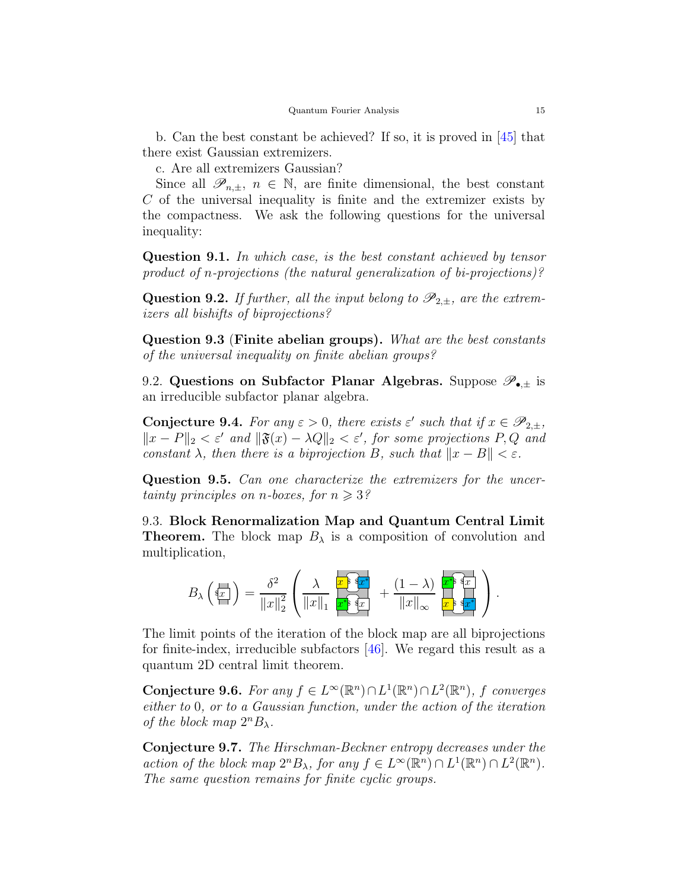b. Can the best constant be achieved? If so, it is proved in [\[45\]](#page-17-9) that there exist Gaussian extremizers.

c. Are all extremizers Gaussian?

Since all  $\mathscr{P}_{n,\pm}$ ,  $n \in \mathbb{N}$ , are finite dimensional, the best constant C of the universal inequality is finite and the extremizer exists by the compactness. We ask the following questions for the universal inequality:

Question 9.1. In which case, is the best constant achieved by tensor product of n-projections (the natural generalization of bi-projections)?

**Question 9.2.** If further, all the input belong to  $\mathscr{P}_{2,\pm}$ , are the extremizers all bishifts of biprojections?

Question 9.3 (Finite abelian groups). What are the best constants of the universal inequality on finite abelian groups?

<span id="page-14-0"></span>9.2. Questions on Subfactor Planar Algebras. Suppose  $\mathscr{P}_{\bullet,\pm}$  is an irreducible subfactor planar algebra.

**Conjecture 9.4.** For any  $\varepsilon > 0$ , there exists  $\varepsilon'$  such that if  $x \in \mathscr{P}_{2,\pm}$ ,  $||x - P||_2 < \varepsilon'$  and  $||\mathfrak{F}(x) - \lambda Q||_2 < \varepsilon'$ , for some projections P, Q and constant  $\lambda$ , then there is a biprojection B, such that  $||x - B|| < \varepsilon$ .

Question 9.5. Can one characterize the extremizers for the uncertainty principles on *n*-boxes, for  $n \geqslant 3$ ?

<span id="page-14-1"></span>9.3. Block Renormalization Map and Quantum Central Limit **Theorem.** The block map  $B_\lambda$  is a composition of convolution and multiplication,

$$
B_{\lambda}\left(\overrightarrow{\mathbf{x}_{x}}\right)=\frac{\delta^{2}}{\left\Vert x\right\Vert _{2}^{2}}\left(\frac{\lambda}{\left\Vert x\right\Vert _{1}}\frac{\overleftarrow{x^{\mathbf{s}}}\overrightarrow{\mathbf{x}^{\mathbf{x}}}}{\overrightarrow{\mathbf{x^{\mathbf{s}}}}}\right)+\frac{(1-\lambda)}{\left\Vert x\right\Vert _{\infty}}\frac{\overleftarrow{x^{\mathbf{s}}}\overrightarrow{\mathbf{x}^{\mathbf{x}}}}{\overrightarrow{\mathbf{x}}}\overrightarrow{\mathbf{x}^{\mathbf{x}}}\right).
$$

The limit points of the iteration of the block map are all biprojections for finite-index, irreducible subfactors [\[46\]](#page-17-10). We regard this result as a quantum 2D central limit theorem.

Conjecture 9.6. For any  $f \in L^{\infty}(\mathbb{R}^n) \cap L^1(\mathbb{R}^n) \cap L^2(\mathbb{R}^n)$ , f converges either to 0, or to a Gaussian function, under the action of the iteration of the block map  $2^nB_{\lambda}$ .

Conjecture 9.7. The Hirschman-Beckner entropy decreases under the action of the block map  $2^n B_\lambda$ , for any  $f \in L^\infty(\mathbb{R}^n) \cap L^1(\mathbb{R}^n) \cap L^2(\mathbb{R}^n)$ . The same question remains for finite cyclic groups.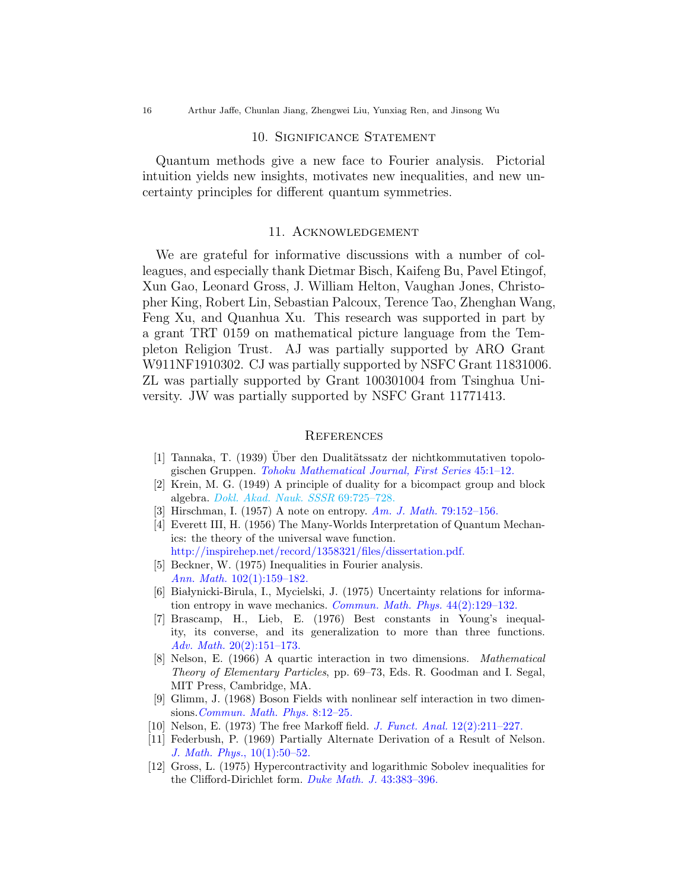#### 10. Significance Statement

<span id="page-15-0"></span>Quantum methods give a new face to Fourier analysis. Pictorial intuition yields new insights, motivates new inequalities, and new uncertainty principles for different quantum symmetries.

#### 11. Acknowledgement

<span id="page-15-1"></span>We are grateful for informative discussions with a number of colleagues, and especially thank Dietmar Bisch, Kaifeng Bu, Pavel Etingof, Xun Gao, Leonard Gross, J. William Helton, Vaughan Jones, Christopher King, Robert Lin, Sebastian Palcoux, Terence Tao, Zhenghan Wang, Feng Xu, and Quanhua Xu. This research was supported in part by a grant TRT 0159 on mathematical picture language from the Templeton Religion Trust. AJ was partially supported by ARO Grant W911NF1910302. CJ was partially supported by NSFC Grant 11831006. ZL was partially supported by Grant 100301004 from Tsinghua University. JW was partially supported by NSFC Grant 11771413.

#### <span id="page-15-2"></span>**REFERENCES**

- <span id="page-15-4"></span><span id="page-15-3"></span>[1] Tannaka, T. (1939) Uber den Dualitätssatz der nichtkommutativen topologischen Gruppen. [Tohoku Mathematical Journal, First Series](https://www.jstage.jst.go.jp/article/tmj1911/45/0/45_0_1/_article/-char/ja/) 45:1–12.
- <span id="page-15-5"></span>[2] Krein, M. G. (1949) A principle of duality for a bicompact group and block algebra. [Dokl. Akad. Nauk. SSSR](#page-0-0) 69:725–728.
- <span id="page-15-6"></span>[3] Hirschman, I. (1957) A note on entropy. [Am. J. Math.](https://doi.org/10.2307/2372390) 79:152–156.
- [4] Everett III, H. (1956) The Many-Worlds Interpretation of Quantum Mechanics: the theory of the universal wave function. [http://inspirehep.net/record/1358321/files/dissertation.pdf.](http://inspirehep.net/record/1358321/files/dissertation.pdf)
- <span id="page-15-7"></span>[5] Beckner, W. (1975) Inequalities in Fourier analysis. Ann. Math. [102\(1\):159–182.](https://www.jstor.org/stable/1970980)
- <span id="page-15-8"></span>[6] Białynicki-Birula, I., Mycielski, J. (1975) Uncertainty relations for information entropy in wave mechanics. [Commun. Math. Phys.](https://link.springer.com/article/10.1007/BF01608825) 44(2):129–132.
- <span id="page-15-9"></span>[7] Brascamp, H., Lieb, E. (1976) Best constants in Young's inequality, its converse, and its generalization to more than three functions. Adv. Math. [20\(2\):151–173.](https://www.sciencedirect.com/science/article/pii/0001870876901845)
- <span id="page-15-10"></span>[8] Nelson, E. (1966) A quartic interaction in two dimensions. Mathematical Theory of Elementary Particles, pp. 69–73, Eds. R. Goodman and I. Segal, MIT Press, Cambridge, MA.
- <span id="page-15-11"></span>[9] Glimm, J. (1968) Boson Fields with nonlinear self interaction in two dimensions.[Commun. Math. Phys.](https://projecteuclid.org/download/pdf_1/euclid.cmp/1103840511) 8:12–25.
- <span id="page-15-13"></span><span id="page-15-12"></span>[10] Nelson, E. (1973) The free Markoff field. [J. Funct. Anal.](https://doi.org/10.1016/0022-1236(73)90025-6) 12(2):211–227.
- [11] Federbush, P. (1969) Partially Alternate Derivation of a Result of Nelson. [J. Math. Phys.](https://deepblue.lib.umich.edu/bitstream/handle/2027.42/70132/JMAPAQ-10-1-50-1.pdf?sequence=2&isAllowed=y), 10(1):50–52.
- <span id="page-15-14"></span>[12] Gross, L. (1975) Hypercontractivity and logarithmic Sobolev inequalities for the Clifford-Dirichlet form. [Duke Math. J.](https://projecteuclid.org/download/pdf_1/euclid.dmj/1077311187) 43:383–396.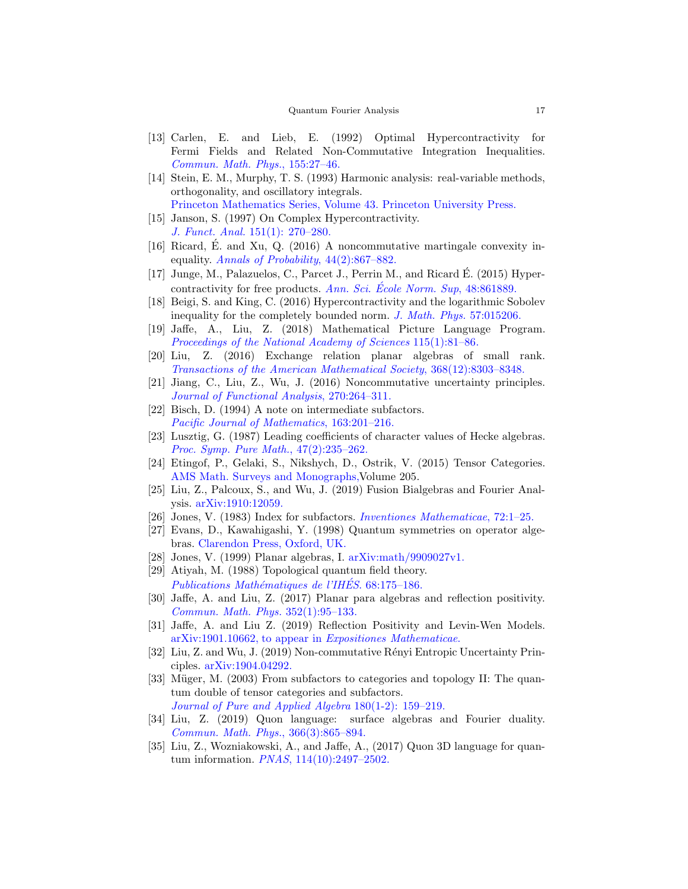- <span id="page-16-0"></span>[13] Carlen, E. and Lieb, E. (1992) Optimal Hypercontractivity for Fermi Fields and Related Non-Commutative Integration Inequalities. [Commun. Math. Phys.](https://link.springer.com/article/10.1007/BF02100048), 155:27–46.
- <span id="page-16-1"></span>[14] Stein, E. M., Murphy, T. S. (1993) Harmonic analysis: real-variable methods, orthogonality, and oscillatory integrals. [Princeton Mathematics Series, Volume 43. Princeton University Press.](https://www.jstor.org/stable/j.ctt1bpmb3s)
- <span id="page-16-2"></span>[15] Janson, S. (1997) On Complex Hypercontractivity. J. Funct. Anal. [151\(1\): 270–280.](https://doi.org/10.1006/jfan.1997.3144)
- <span id="page-16-3"></span>[16] Ricard, É. and Xu, Q. (2016) A noncommutative martingale convexity inequality. [Annals of Probability](https://projecteuclid.org/download/pdfview_1/euclid.aop/1457960385), 44(2):867–882.
- <span id="page-16-4"></span>[17] Junge, M., Palazuelos, C., Parcet J., Perrin M., and Ricard E. (2015) Hyper- ´ contractivity for free products. Ann. Sci. École Norm. Sup,  $48:861889$ .
- <span id="page-16-6"></span><span id="page-16-5"></span>[18] Beigi, S. and King, C. (2016) Hypercontractivity and the logarithmic Sobolev inequality for the completely bounded norm. [J. Math. Phys.](https://doi.org/10.1063/1.4934729) 57:015206.
- [19] Jaffe, A., Liu, Z. (2018) Mathematical Picture Language Program. [Proceedings of the National Academy of Sciences](https://www.pnas.org/content/115/1/81) 115(1):81–86.
- <span id="page-16-7"></span>[20] Liu, Z. (2016) Exchange relation planar algebras of small rank. [Transactions of the American Mathematical Society](https://www.ams.org/tran/0000-000-00/S0002-9947-2016-06582-4/), 368(12):8303–8348.
- <span id="page-16-9"></span><span id="page-16-8"></span>[21] Jiang, C., Liu, Z., Wu, J. (2016) Noncommutative uncertainty principles. [Journal of Functional Analysis](https://doi.org/10.1016/j.jfa.2015.08.007), 270:264–311.
- <span id="page-16-10"></span>[22] Bisch, D. (1994) A note on intermediate subfactors. [Pacific Journal of Mathematics](https://msp.org/pjm/1994/163-2/pjm-v163-n2-p01-p.pdf), 163:201–216.
- [23] Lusztig, G. (1987) Leading coefficients of character values of Hecke algebras. [Proc. Symp. Pure Math.](http://www.ams.org.ezp-prod1.hul.harvard.edu/books/pspum/047.2/), 47(2):235–262.
- <span id="page-16-11"></span>[24] Etingof, P., Gelaki, S., Nikshych, D., Ostrik, V. (2015) Tensor Categories. [AMS Math. Surveys and Monographs,V](https://bookstore.ams.org/surv-205/)olume 205.
- <span id="page-16-12"></span>[25] Liu, Z., Palcoux, S., and Wu, J. (2019) Fusion Bialgebras and Fourier Analysis. [arXiv:1910:12059.](https://arXiv.org/abs/1910.12059)
- <span id="page-16-14"></span><span id="page-16-13"></span>[26] Jones, V. (1983) Index for subfactors. *[Inventiones Mathematicae](https://doi.org/10.1007/BF01389127)*, 72:1–25.
- [27] Evans, D., Kawahigashi, Y. (1998) Quantum symmetries on operator algebras. [Clarendon Press, Oxford, UK.](https://global.oup.com/academic/product/quantum-symmetries-on-operator-algebras-9780198511755)
- <span id="page-16-16"></span><span id="page-16-15"></span>[28] Jones, V. (1999) Planar algebras, I. [arXiv:math/9909027v1.](https://arxiv.org/abs/math/9909027)
- [29] Atiyah, M. (1988) Topological quantum field theory. Publications Mathématiques de l'IHÉS. 68:175-186.
- <span id="page-16-17"></span>[30] Jaffe, A. and Liu, Z. (2017) Planar para algebras and reflection positivity. [Commun. Math. Phys.](https://link.springer.com/article/10.1007/s00220-016-2779-4) 352(1):95–133.
- <span id="page-16-18"></span>[31] Jaffe, A. and Liu Z. (2019) Reflection Positivity and Levin-Wen Models. [arXiv:1901.10662, to appear in](https://arxiv.org/abs/1901.10662) Expositiones Mathematicae.
- <span id="page-16-19"></span>[32] Liu, Z. and Wu, J. (2019) Non-commutative R´enyi Entropic Uncertainty Principles. [arXiv:1904.04292.](https://arxiv.org/abs/1904.04292)
- <span id="page-16-20"></span>[33] Müger, M. (2003) From subfactors to categories and topology II: The quantum double of tensor categories and subfactors. [Journal of Pure and Applied Algebra](https://www.sciencedirect.com/science/article/pii/S0022404902002487) 180(1-2): 159–219.
- <span id="page-16-21"></span>[34] Liu, Z. (2019) Quon language: surface algebras and Fourier duality. [Commun. Math. Phys.](https://link.springer.com/article/10.1007/s00220-019-03361-3), 366(3):865–894.
- <span id="page-16-22"></span>[35] Liu, Z., Wozniakowski, A., and Jaffe, A., (2017) Quon 3D language for quantum information. PNAS[, 114\(10\):2497–2502.](https://www.pnas.org/content/pnas/114/10/2497.full.pdf)